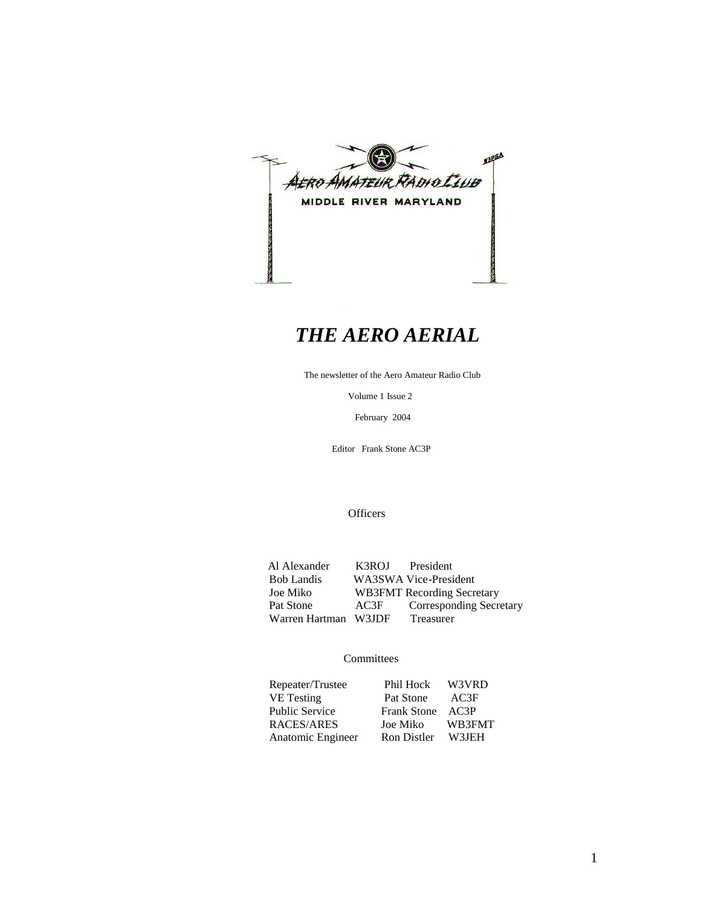

## *THE AERO AERIAL*

The newsletter of the Aero Amateur Radio Club

Volume 1 Issue 2

February 2004

Editor Frank Stone AC3P

**Officers** 

Al Alexander K3ROJ President<br>Bob Landis WA3SWA Vice-Presi Bob Landis WA3SWA Vice-President<br>Joe Miko WB3FMT Recording Secre WB3FMT Recording Secretary Pat Stone AC3F Corresponding Secretary<br>Warren Hartman W3JDF Treasurer Warren Hartman W3JDF

#### **Committees**

| Repeater/Trustee      | Phil Hock        | W3VRD  |
|-----------------------|------------------|--------|
| VE Testing            | Pat Stone        | AC3F   |
| <b>Public Service</b> | Frank Stone AC3P |        |
| RACES/ARES            | Joe Miko         | WB3FMT |
| Anatomic Engineer     | Ron Distler      | W3JEH  |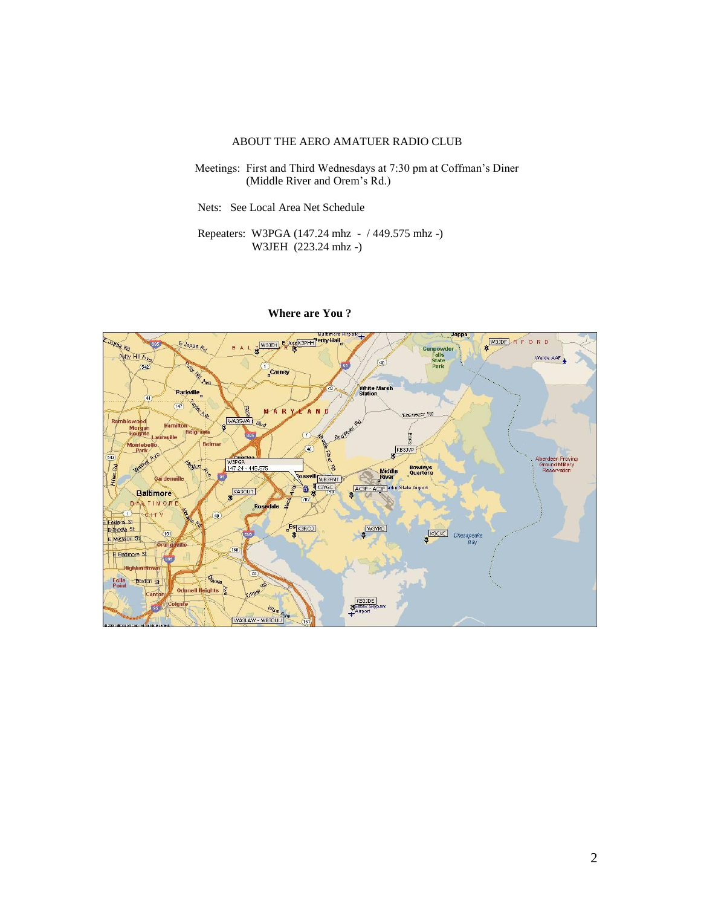#### ABOUT THE AERO AMATUER RADIO CLUB

 Meetings: First and Third Wednesdays at 7:30 pm at Coffman's Diner (Middle River and Orem's Rd.)

Nets: See Local Area Net Schedule

 Repeaters: W3PGA (147.24 mhz - / 449.575 mhz -) W3JEH (223.24 mhz -)



#### **Where are You ?**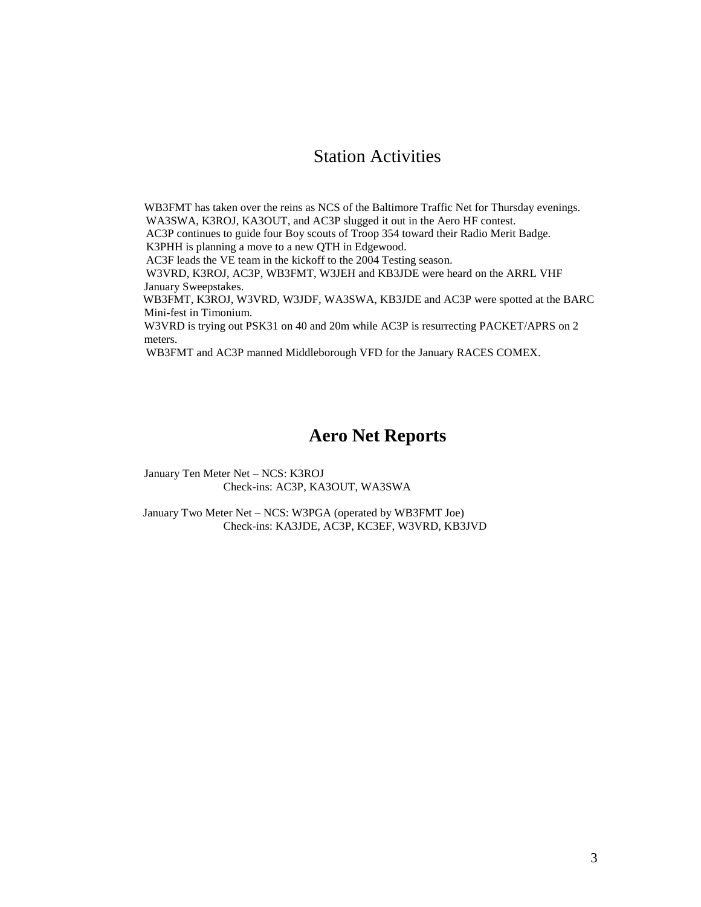### Station Activities

 WB3FMT has taken over the reins as NCS of the Baltimore Traffic Net for Thursday evenings. WA3SWA, K3ROJ, KA3OUT, and AC3P slugged it out in the Aero HF contest. AC3P continues to guide four Boy scouts of Troop 354 toward their Radio Merit Badge. K3PHH is planning a move to a new QTH in Edgewood. AC3F leads the VE team in the kickoff to the 2004 Testing season. W3VRD, K3ROJ, AC3P, WB3FMT, W3JEH and KB3JDE were heard on the ARRL VHF January Sweepstakes. WB3FMT, K3ROJ, W3VRD, W3JDF, WA3SWA, KB3JDE and AC3P were spotted at the BARC Mini-fest in Timonium. W3VRD is trying out PSK31 on 40 and 20m while AC3P is resurrecting PACKET/APRS on 2 meters. WB3FMT and AC3P manned Middleborough VFD for the January RACES COMEX.

#### **Aero Net Reports**

January Ten Meter Net – NCS: K3ROJ Check-ins: AC3P, KA3OUT, WA3SWA

 January Two Meter Net – NCS: W3PGA (operated by WB3FMT Joe) Check-ins: KA3JDE, AC3P, KC3EF, W3VRD, KB3JVD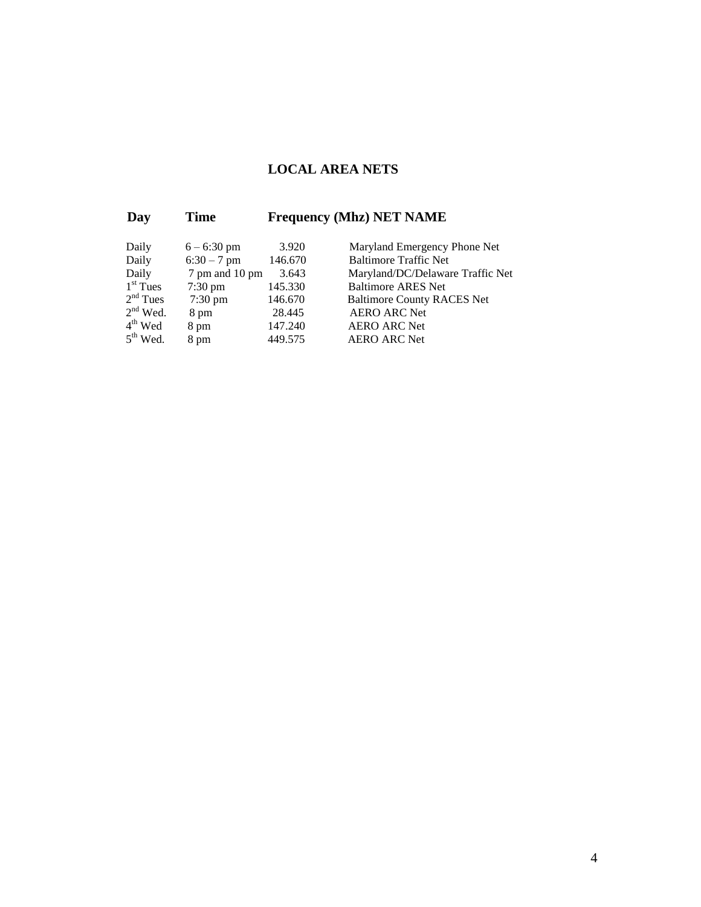### **LOCAL AREA NETS**

### **Day Time Frequency (Mhz) NET NAME**

| Daily         | $6 - 6:30$ pm     | 3.920   | Maryland Emergency Phone Net      |
|---------------|-------------------|---------|-----------------------------------|
| Daily         | $6:30 - 7$ pm     | 146.670 | <b>Baltimore Traffic Net</b>      |
| Daily         | 7 pm and 10 pm    | 3.643   | Maryland/DC/Delaware Traffic Net  |
| $1st$ Tues    | $7:30 \text{ pm}$ | 145.330 | <b>Baltimore ARES Net</b>         |
| $2nd$ Tues    | $7:30 \text{ pm}$ | 146.670 | <b>Baltimore County RACES Net</b> |
| $2nd$ Wed.    | 8 pm              | 28.445  | <b>AERO ARC Net</b>               |
| $4th$ Wed     | 8 pm              | 147.240 | <b>AERO ARC Net</b>               |
| $5^{th}$ Wed. | 8 pm              | 449.575 | <b>AERO ARC Net</b>               |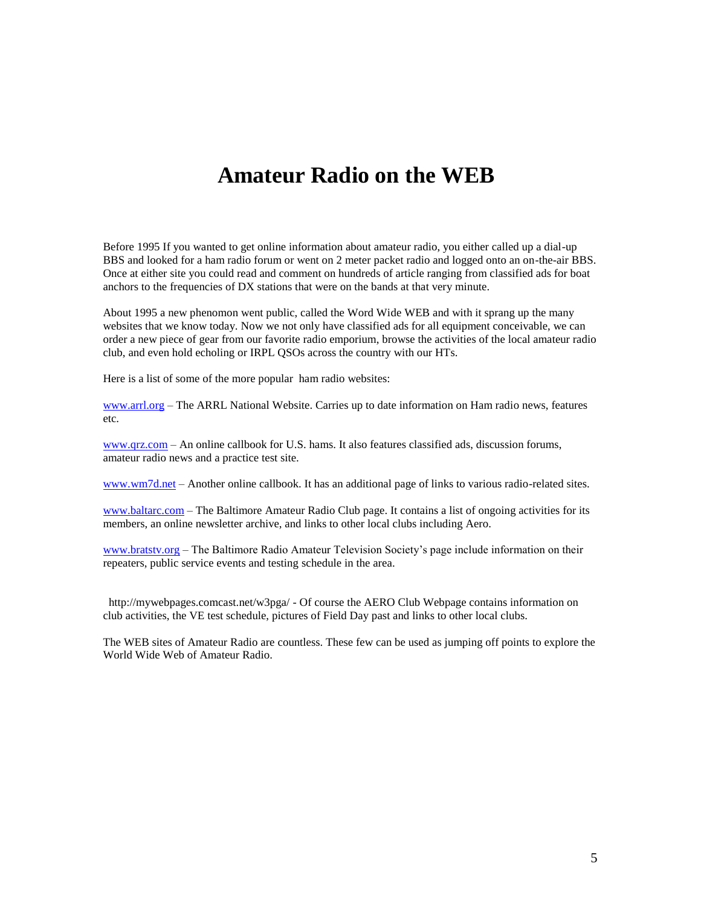## **Amateur Radio on the WEB**

Before 1995 If you wanted to get online information about amateur radio, you either called up a dial-up BBS and looked for a ham radio forum or went on 2 meter packet radio and logged onto an on-the-air BBS. Once at either site you could read and comment on hundreds of article ranging from classified ads for boat anchors to the frequencies of DX stations that were on the bands at that very minute.

About 1995 a new phenomon went public, called the Word Wide WEB and with it sprang up the many websites that we know today. Now we not only have classified ads for all equipment conceivable, we can order a new piece of gear from our favorite radio emporium, browse the activities of the local amateur radio club, and even hold echoling or IRPL QSOs across the country with our HTs.

Here is a list of some of the more popular ham radio websites:

[www.arrl.org](http://www.arrl.org/) – The ARRL National Website. Carries up to date information on Ham radio news, features etc.

[www.qrz.com](http://www.qrz.com/) – An online callbook for U.S. hams. It also features classified ads, discussion forums, amateur radio news and a practice test site.

[www.wm7d.net](http://www.wm7d.net/) – Another online callbook. It has an additional page of links to various radio-related sites.

[www.baltarc.com](http://www.baltarc.com/) – The Baltimore Amateur Radio Club page. It contains a list of ongoing activities for its members, an online newsletter archive, and links to other local clubs including Aero.

[www.bratstv.org](http://www.bratstv.org/) – The Baltimore Radio Amateur Television Society's page include information on their repeaters, public service events and testing schedule in the area.

 http://mywebpages.comcast.net/w3pga/ - Of course the AERO Club Webpage contains information on club activities, the VE test schedule, pictures of Field Day past and links to other local clubs.

The WEB sites of Amateur Radio are countless. These few can be used as jumping off points to explore the World Wide Web of Amateur Radio.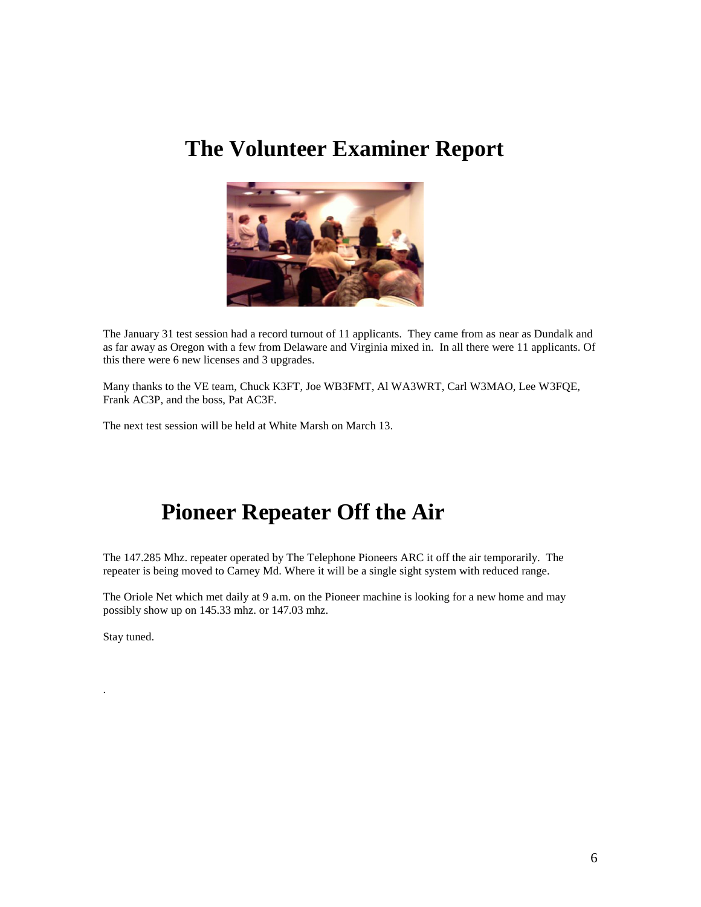## **The Volunteer Examiner Report**



The January 31 test session had a record turnout of 11 applicants. They came from as near as Dundalk and as far away as Oregon with a few from Delaware and Virginia mixed in. In all there were 11 applicants. Of this there were 6 new licenses and 3 upgrades.

Many thanks to the VE team, Chuck K3FT, Joe WB3FMT, Al WA3WRT, Carl W3MAO, Lee W3FQE, Frank AC3P, and the boss, Pat AC3F.

The next test session will be held at White Marsh on March 13.

# **Pioneer Repeater Off the Air**

The 147.285 Mhz. repeater operated by The Telephone Pioneers ARC it off the air temporarily. The repeater is being moved to Carney Md. Where it will be a single sight system with reduced range.

The Oriole Net which met daily at 9 a.m. on the Pioneer machine is looking for a new home and may possibly show up on 145.33 mhz. or 147.03 mhz.

Stay tuned.

.